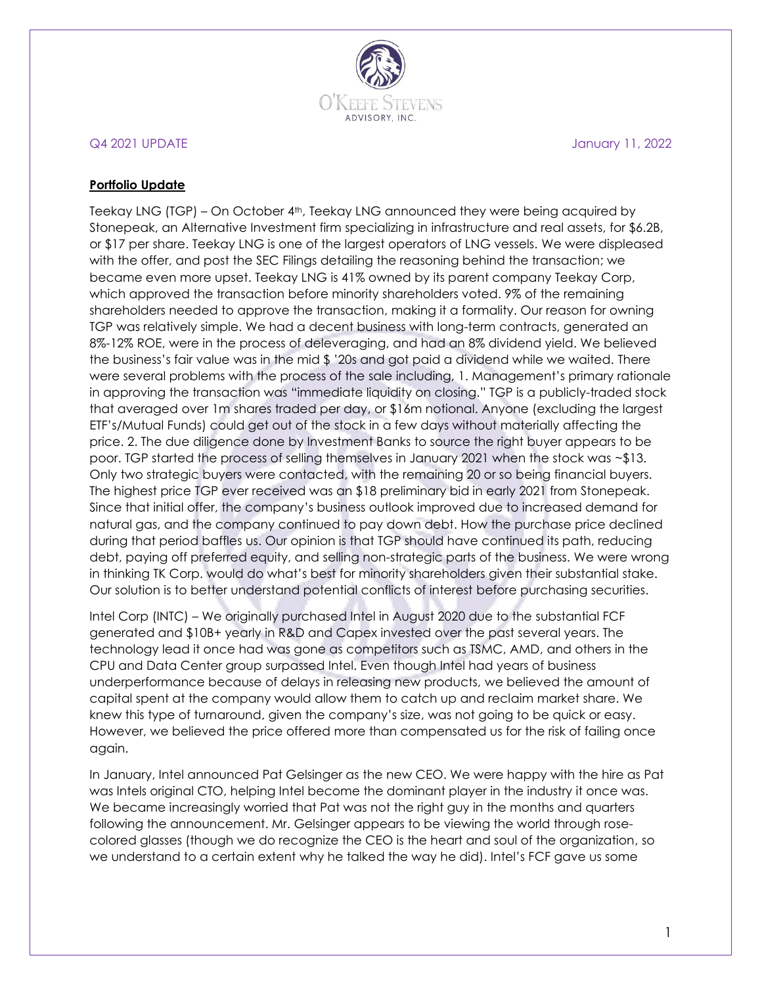

## Q4 2021 UPDATE January 11, 2022

### **Portfolio Update**

Teekay LNG (TGP) - On October 4<sup>th</sup>, Teekay LNG announced they were being acquired by Stonepeak, an Alternative Investment firm specializing in infrastructure and real assets, for \$6.2B, or \$17 per share. Teekay LNG is one of the largest operators of LNG vessels. We were displeased with the offer, and post the SEC Filings detailing the reasoning behind the transaction; we became even more upset. Teekay LNG is 41% owned by its parent company Teekay Corp, which approved the transaction before minority shareholders voted. 9% of the remaining shareholders needed to approve the transaction, making it a formality. Our reason for owning TGP was relatively simple. We had a decent business with long-term contracts, generated an 8%-12% ROE, were in the process of deleveraging, and had an 8% dividend yield. We believed the business's fair value was in the mid \$ '20s and got paid a dividend while we waited. There were several problems with the process of the sale including, 1. Management's primary rationale in approving the transaction was "immediate liquidity on closing." TGP is a publicly-traded stock that averaged over 1m shares traded per day, or \$16m notional. Anyone (excluding the largest ETF's/Mutual Funds) could get out of the stock in a few days without materially affecting the price. 2. The due diligence done by Investment Banks to source the right buyer appears to be poor. TGP started the process of selling themselves in January 2021 when the stock was ~\$13. Only two strategic buyers were contacted, with the remaining 20 or so being financial buyers. The highest price TGP ever received was an \$18 preliminary bid in early 2021 from Stonepeak. Since that initial offer, the company's business outlook improved due to increased demand for natural gas, and the company continued to pay down debt. How the purchase price declined during that period baffles us. Our opinion is that TGP should have continued its path, reducing debt, paying off preferred equity, and selling non-strategic parts of the business. We were wrong in thinking TK Corp. would do what's best for minority shareholders given their substantial stake. Our solution is to better understand potential conflicts of interest before purchasing securities.

Intel Corp (INTC) – We originally purchased Intel in August 2020 due to the substantial FCF generated and \$10B+ yearly in R&D and Capex invested over the past several years. The technology lead it once had was gone as competitors such as TSMC, AMD, and others in the CPU and Data Center group surpassed Intel. Even though Intel had years of business underperformance because of delays in releasing new products, we believed the amount of capital spent at the company would allow them to catch up and reclaim market share. We knew this type of turnaround, given the company's size, was not going to be quick or easy. However, we believed the price offered more than compensated us for the risk of failing once again.

In January, Intel announced Pat Gelsinger as the new CEO. We were happy with the hire as Pat was Intels original CTO, helping Intel become the dominant player in the industry it once was. We became increasingly worried that Pat was not the right guy in the months and quarters following the announcement. Mr. Gelsinger appears to be viewing the world through rosecolored glasses (though we do recognize the CEO is the heart and soul of the organization, so we understand to a certain extent why he talked the way he did). Intel's FCF gave us some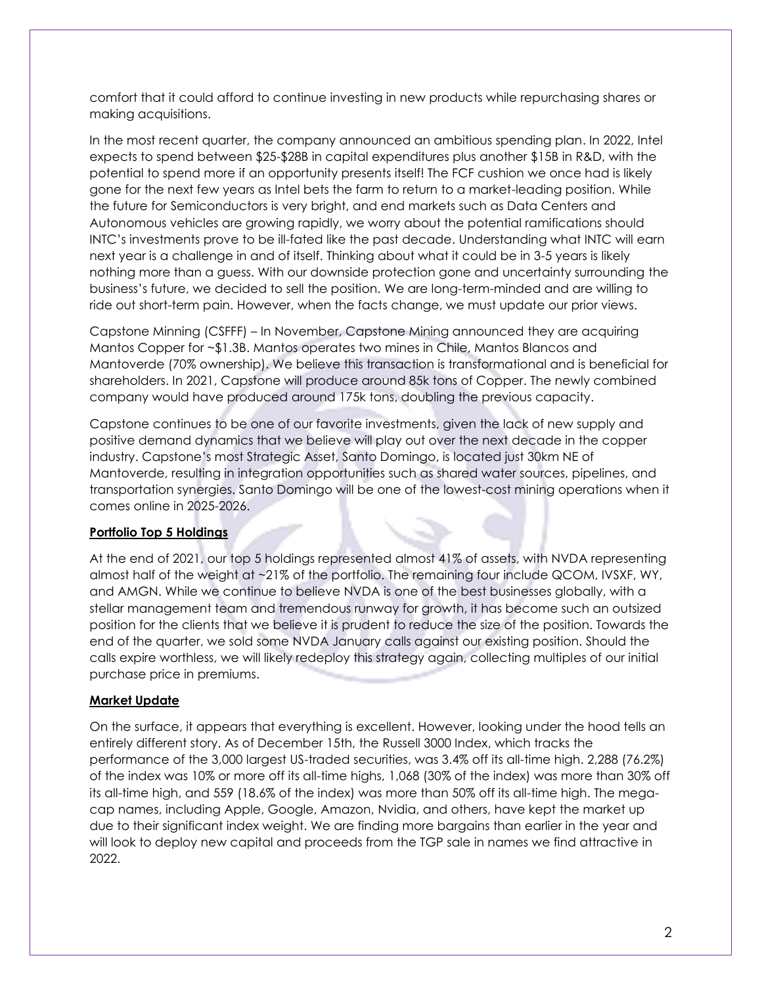comfort that it could afford to continue investing in new products while repurchasing shares or making acquisitions.

In the most recent quarter, the company announced an ambitious spending plan. In 2022, Intel expects to spend between \$25-\$28B in capital expenditures plus another \$15B in R&D, with the potential to spend more if an opportunity presents itself! The FCF cushion we once had is likely gone for the next few years as Intel bets the farm to return to a market-leading position. While the future for Semiconductors is very bright, and end markets such as Data Centers and Autonomous vehicles are growing rapidly, we worry about the potential ramifications should INTC's investments prove to be ill-fated like the past decade. Understanding what INTC will earn next year is a challenge in and of itself. Thinking about what it could be in 3-5 years is likely nothing more than a guess. With our downside protection gone and uncertainty surrounding the business's future, we decided to sell the position. We are long-term-minded and are willing to ride out short-term pain. However, when the facts change, we must update our prior views.

Capstone Minning (CSFFF) – In November, Capstone Mining announced they are acquiring Mantos Copper for ~\$1.3B. Mantos operates two mines in Chile, Mantos Blancos and Mantoverde (70% ownership). We believe this transaction is transformational and is beneficial for shareholders. In 2021, Capstone will produce around 85k tons of Copper. The newly combined company would have produced around 175k tons, doubling the previous capacity.

Capstone continues to be one of our favorite investments, given the lack of new supply and positive demand dynamics that we believe will play out over the next decade in the copper industry. Capstone's most Strategic Asset, Santo Domingo, is located just 30km NE of Mantoverde, resulting in integration opportunities such as shared water sources, pipelines, and transportation synergies. Santo Domingo will be one of the lowest-cost mining operations when it comes online in 2025-2026.

# **Portfolio Top 5 Holdings**

At the end of 2021, our top 5 holdings represented almost 41% of assets, with NVDA representing almost half of the weight at ~21% of the portfolio. The remaining four include QCOM, IVSXF, WY, and AMGN. While we continue to believe NVDA is one of the best businesses globally, with a stellar management team and tremendous runway for growth, it has become such an outsized position for the clients that we believe it is prudent to reduce the size of the position. Towards the end of the quarter, we sold some NVDA January calls against our existing position. Should the calls expire worthless, we will likely redeploy this strategy again, collecting multiples of our initial purchase price in premiums.

## **Market Update**

On the surface, it appears that everything is excellent. However, looking under the hood tells an entirely different story. As of December 15th, the Russell 3000 Index, which tracks the performance of the 3,000 largest US-traded securities, was 3.4% off its all-time high. 2,288 (76.2%) of the index was 10% or more off its all-time highs, 1,068 (30% of the index) was more than 30% off its all-time high, and 559 (18.6% of the index) was more than 50% off its all-time high. The megacap names, including Apple, Google, Amazon, Nvidia, and others, have kept the market up due to their significant index weight. We are finding more bargains than earlier in the year and will look to deploy new capital and proceeds from the TGP sale in names we find attractive in 2022.